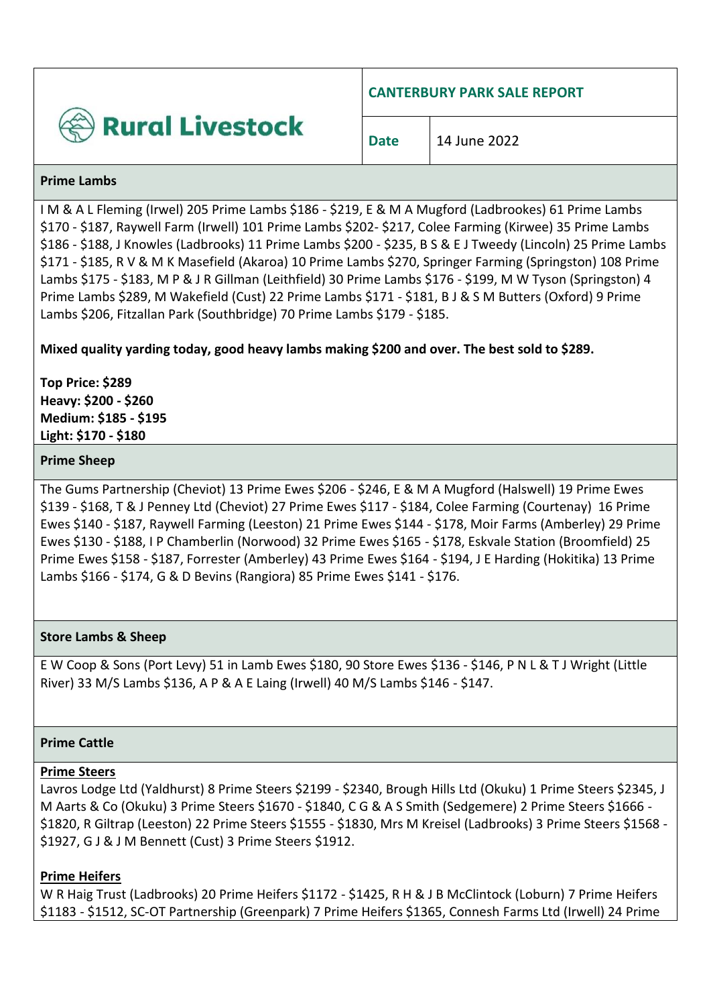

**CANTERBURY PARK SALE REPORT**

#### **Prime Lambs**

I M & A L Fleming (Irwel) 205 Prime Lambs \$186 - \$219, E & M A Mugford (Ladbrookes) 61 Prime Lambs \$170 - \$187, Raywell Farm (Irwell) 101 Prime Lambs \$202- \$217, Colee Farming (Kirwee) 35 Prime Lambs \$186 - \$188, J Knowles (Ladbrooks) 11 Prime Lambs \$200 - \$235, B S & E J Tweedy (Lincoln) 25 Prime Lambs \$171 - \$185, R V & M K Masefield (Akaroa) 10 Prime Lambs \$270, Springer Farming (Springston) 108 Prime Lambs \$175 - \$183, M P & J R Gillman (Leithfield) 30 Prime Lambs \$176 - \$199, M W Tyson (Springston) 4 Prime Lambs \$289, M Wakefield (Cust) 22 Prime Lambs \$171 - \$181, B J & S M Butters (Oxford) 9 Prime Lambs \$206, Fitzallan Park (Southbridge) 70 Prime Lambs \$179 - \$185.

# **Mixed quality yarding today, good heavy lambs making \$200 and over. The best sold to \$289.**

**Top Price: \$289 Heavy: \$200 - \$260 Medium: \$185 - \$195 Light: \$170 - \$180**

### **Prime Sheep**

The Gums Partnership (Cheviot) 13 Prime Ewes \$206 - \$246, E & M A Mugford (Halswell) 19 Prime Ewes \$139 - \$168, T & J Penney Ltd (Cheviot) 27 Prime Ewes \$117 - \$184, Colee Farming (Courtenay) 16 Prime Ewes \$140 - \$187, Raywell Farming (Leeston) 21 Prime Ewes \$144 - \$178, Moir Farms (Amberley) 29 Prime Ewes \$130 - \$188, I P Chamberlin (Norwood) 32 Prime Ewes \$165 - \$178, Eskvale Station (Broomfield) 25 Prime Ewes \$158 - \$187, Forrester (Amberley) 43 Prime Ewes \$164 - \$194, J E Harding (Hokitika) 13 Prime Lambs \$166 - \$174, G & D Bevins (Rangiora) 85 Prime Ewes \$141 - \$176.

## **Store Lambs & Sheep**

E W Coop & Sons (Port Levy) 51 in Lamb Ewes \$180, 90 Store Ewes \$136 - \$146, P N L & T J Wright (Little River) 33 M/S Lambs \$136, A P & A E Laing (Irwell) 40 M/S Lambs \$146 - \$147.

#### **Prime Cattle**

#### **Prime Steers**

Lavros Lodge Ltd (Yaldhurst) 8 Prime Steers \$2199 - \$2340, Brough Hills Ltd (Okuku) 1 Prime Steers \$2345, J M Aarts & Co (Okuku) 3 Prime Steers \$1670 - \$1840, C G & A S Smith (Sedgemere) 2 Prime Steers \$1666 - \$1820, R Giltrap (Leeston) 22 Prime Steers \$1555 - \$1830, Mrs M Kreisel (Ladbrooks) 3 Prime Steers \$1568 - \$1927, G J & J M Bennett (Cust) 3 Prime Steers \$1912.

## **Prime Heifers**

W R Haig Trust (Ladbrooks) 20 Prime Heifers \$1172 - \$1425, R H & J B McClintock (Loburn) 7 Prime Heifers \$1183 - \$1512, SC-OT Partnership (Greenpark) 7 Prime Heifers \$1365, Connesh Farms Ltd (Irwell) 24 Prime